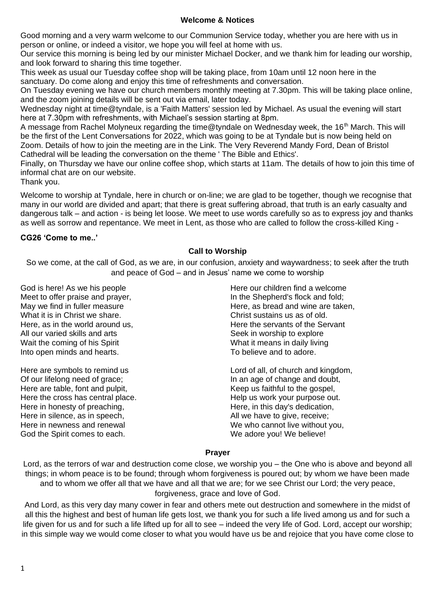# **Welcome & Notices**

Good morning and a very warm welcome to our Communion Service today, whether you are here with us in person or online, or indeed a visitor, we hope you will feel at home with us.

Our service this morning is being led by our minister Michael Docker, and we thank him for leading our worship, and look forward to sharing this time together.

This week as usual our Tuesday coffee shop will be taking place, from 10am until 12 noon here in the sanctuary. Do come along and enjoy this time of refreshments and conversation.

On Tuesday evening we have our church members monthly meeting at 7.30pm. This will be taking place online, and the zoom joining details will be sent out via email, later today.

Wednesday night at time@tyndale, is a 'Faith Matters' session led by Michael. As usual the evening will start here at 7.30pm with refreshments, with Michael's session starting at 8pm.

A message from Rachel Molyneux regarding the time@tyndale on Wednesday week, the 16<sup>th</sup> March. This will be the first of the Lent Conversations for 2022, which was going to be at Tyndale but is now being held on Zoom. Details of how to join the meeting are in the Link. The Very Reverend Mandy Ford, Dean of Bristol Cathedral will be leading the conversation on the theme ' The Bible and Ethics'.

Finally, on Thursday we have our online coffee shop, which starts at 11am. The details of how to join this time of informal chat are on our website.

Thank you.

Welcome to worship at Tyndale, here in church or on-line; we are glad to be together, though we recognise that many in our world are divided and apart; that there is great suffering abroad, that truth is an early casualty and dangerous talk – and action - is being let loose. We meet to use words carefully so as to express joy and thanks as well as sorrow and repentance. We meet in Lent, as those who are called to follow the cross-killed King -

# **CG26 'Come to me..'**

# **Call to Worship**

So we come, at the call of God, as we are, in our confusion, anxiety and waywardness; to seek after the truth and peace of God – and in Jesus' name we come to worship

God is here! As we his people Meet to offer praise and prayer, May we find in fuller measure What it is in Christ we share. Here, as in the world around us, All our varied skills and arts Wait the coming of his Spirit Into open minds and hearts.

Here are symbols to remind us Of our lifelong need of grace; Here are table, font and pulpit, Here the cross has central place. Here in honesty of preaching, Here in silence, as in speech, Here in newness and renewal God the Spirit comes to each.

Here our children find a welcome In the Shepherd's flock and fold; Here, as bread and wine are taken, Christ sustains us as of old. Here the servants of the Servant Seek in worship to explore What it means in daily living To believe and to adore.

Lord of all, of church and kingdom, In an age of change and doubt, Keep us faithful to the gospel, Help us work your purpose out. Here, in this day's dedication, All we have to give, receive; We who cannot live without you, We adore you! We believe!

## **Prayer**

Lord, as the terrors of war and destruction come close, we worship you – the One who is above and beyond all things; in whom peace is to be found; through whom forgiveness is poured out; by whom we have been made and to whom we offer all that we have and all that we are; for we see Christ our Lord; the very peace, forgiveness, grace and love of God.

And Lord, as this very day many cower in fear and others mete out destruction and somewhere in the midst of all this the highest and best of human life gets lost, we thank you for such a life lived among us and for such a life given for us and for such a life lifted up for all to see – indeed the very life of God. Lord, accept our worship; in this simple way we would come closer to what you would have us be and rejoice that you have come close to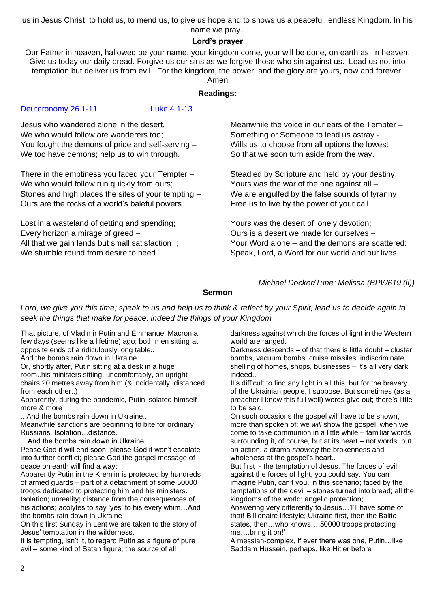us in Jesus Christ; to hold us, to mend us, to give us hope and to shows us a peaceful, endless Kingdom. In his

## name we pray.. **Lord's prayer**

Our Father in heaven, hallowed be your name, your kingdom come, your will be done, on earth as in heaven. Give us today our daily bread. Forgive us our sins as we forgive those who sin against us. Lead us not into temptation but deliver us from evil. For the kingdom, the power, and the glory are yours, now and forever.

Amen

# **Readings:**

# [Deuteronomy 26.1-11](https://www.biblegateway.com/passage/?search=Deuteronomy+26.1-11&version=NRSVA) [Luke 4.1-13](https://www.biblegateway.com/passage/?search=Luke+4.1-13&version=NRSVA)

Jesus who wandered alone in the desert, We who would follow are wanderers too: You fought the demons of pride and self-serving – We too have demons; help us to win through.

There in the emptiness you faced your Tempter – We who would follow run quickly from ours; Stones and high places the sites of your tempting – Ours are the rocks of a world's baleful powers

Lost in a wasteland of getting and spending; Every horizon a mirage of greed – All that we gain lends but small satisfaction: We stumble round from desire to need

Meanwhile the voice in our ears of the Tempter – Something or Someone to lead us astray - Wills us to choose from all options the lowest So that we soon turn aside from the way.

Steadied by Scripture and held by your destiny, Yours was the war of the one against all – We are engulfed by the false sounds of tyranny Free us to live by the power of your call

Yours was the desert of lonely devotion; Ours is a desert we made for ourselves – Your Word alone – and the demons are scattered: Speak, Lord, a Word for our world and our lives.

*Michael Docker/Tune: Melissa (BPW619 (ii))*

# **Sermon**

*Lord, we give you this time; speak to us and help us to think & reflect by your Spirit; lead us to decide again to seek the things that make for peace; indeed the things of your Kingdom*

That picture, of Vladimir Putin and Emmanuel Macron a few days (seems like a lifetime) ago; both men sitting at opposite ends of a ridiculously long table..

And the bombs rain down in Ukraine..

Or, shortly after, Putin sitting at a desk in a huge room..his ministers sitting, uncomfortably, on upright chairs 20 metres away from him (& incidentally, distanced from each other..)

Apparently, during the pandemic, Putin isolated himself more & more

.. And the bombs rain down in Ukraine..

Meanwhile sanctions are beginning to bite for ordinary Russians. Isolation…distance.

…And the bombs rain down in Ukraine..

Pease God it will end soon; please God it won't escalate into further conflict; please God the gospel message of peace on earth will find a way;

Apparently Putin in the Kremlin is protected by hundreds of armed guards – part of a detachment of some 50000 troops dedicated to protecting him and his ministers. Isolation; unreality; distance from the consequences of his actions; acolytes to say 'yes' to his every whim…And the bombs rain down in Ukraine

On this first Sunday in Lent we are taken to the story of Jesus' temptation in the wilderness.

It is tempting, isn't it, to regard Putin as a figure of pure evil – some kind of Satan figure; the source of all

darkness against which the forces of light in the Western world are ranged.

Darkness descends – of that there is little doubt – cluster bombs, vacuum bombs; cruise missiles, indiscriminate shelling of homes, shops, businesses – it's all very dark indeed..

It's difficult to find any light in all this, but for the bravery of the Ukrainian people, I suppose. But sometimes (as a preacher I know this full well) words give out; there's little to be said.

On such occasions the gospel will have to be shown, more than spoken of; we *will* show the gospel, when we come to take communion in a little while – familiar words surrounding it, of course, but at its heart – not words, but an action, a drama *showing* the brokenness and wholeness at the gospel's heart..

But first - the temptation of Jesus. The forces of evil against the forces of light, you could say. You can imagine Putin, can't you, in this scenario; faced by the temptations of the devil – stones turned into bread; all the kingdoms of the world; angelic protection;

Answering very differently to Jesus…'I'll have some of that! Billionaire lifestyle; Ukraine first, then the Baltic states, then…who knows….50000 troops protecting me….bring it on!'

A messiah-complex, if ever there was one, Putin…like Saddam Hussein, perhaps, like Hitler before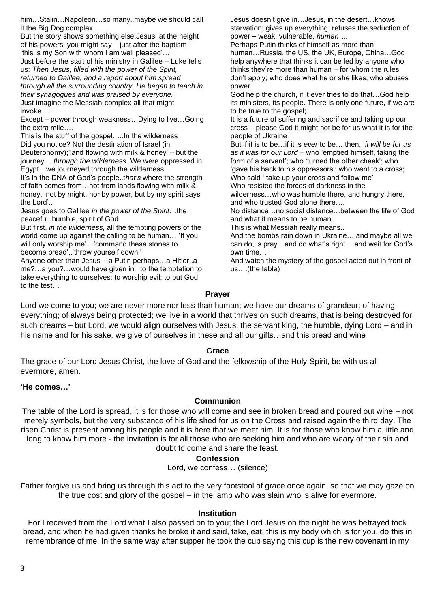him…Stalin…Napoleon…so many..maybe we should call it the Big Dog complex…….

But the story shows something else.Jesus, at the height of his powers, you might say  $-$  just after the baptism  $-$ 'this is my Son with whom I am well pleased'… Just before the start of his ministry in Galilee – Luke tells us: *Then Jesus, filled with the power of the Spirit, returned to Galilee, and a report about him spread through all the surrounding country. He began to teach in their synagogues and was praised by everyone.* Just imagine the Messiah-complex all that might invoke….

Except – power through weakness…Dying to live…Going the extra mile….

This is the stuff of the gospel…..In the wilderness Did you notice? Not the destination of Israel (in Deuteronomy);'land flowing with milk & honey' – but the journey….*through the wilderness..*We were oppressed in Egypt…we journeyed through the wilderness…

It's in the DNA of God's people..t*hat's* where the strength of faith comes from…not from lands flowing with milk & honey. 'not by might, nor by power, but by my spirit says the Lord'..

Jesus goes to Galilee *in the power of the Spirit*…the peaceful, humble, spirit of God

But first, *in the wilderness,* all the tempting powers of the world come up against the calling to be human… 'If you will only worship me'…'command these stones to become bread'..'throw yourself down.'

Anyone other than Jesus – a Putin perhaps…a Hitler..a me?…a you?…would have given in, to the temptation to take everything to ourselves; to worship evil; to put God to the test…

Jesus doesn't give in…Jesus, in the desert…knows starvation; gives up everything; refuses the seduction of power – weak, vulnerable, *human….* Perhaps Putin thinks of himself as more than human…Russia, the US, the UK, Europe, China…God help anywhere that thinks it can be led by anyone who thinks they're more than human – for whom the rules don't apply; who does what he or she likes; who abuses power. God help the church, if it ever tries to do that…God help its ministers, its people. There is only one future, if we are to be true to the gospel; It is a future of suffering and sacrifice and taking up our cross – please God it might not be for us what it is for the people of Ukraine But if it is to be…if it is *ever* to be….then.. *it will be for us as it was for our Lord* – who 'emptied himself, taking the form of a servant'; who 'turned the other cheek'; who 'gave his back to his oppressors'; who went to a cross; Who said ' take up your cross and follow me' Who resisted the forces of darkness in the wilderness…who was humble there, and hungry there, and who trusted God alone there…. No distance…no social distance…between the life of God and what it means to be human.. This is what Messiah really means.. And the bombs rain down in Ukraine….and maybe all we can do, is pray…and do what's right….and wait for God's own time…

And watch the mystery of the gospel acted out in front of us….(the table)

## **Prayer**

Lord we come to you; we are never more nor less than human; we have our dreams of grandeur; of having everything; of always being protected; we live in a world that thrives on such dreams, that is being destroyed for such dreams – but Lord, we would align ourselves with Jesus, the servant king, the humble, dying Lord – and in his name and for his sake, we give of ourselves in these and all our gifts...and this bread and wine

## **Grace**

The grace of our Lord Jesus Christ, the love of God and the fellowship of the Holy Spirit, be with us all, evermore, amen.

## **'He comes…'**

# **Communion**

The table of the Lord is spread, it is for those who will come and see in broken bread and poured out wine – not merely symbols, but the very substance of his life shed for us on the Cross and raised again the third day. The risen Christ is present among his people and it is here that we meet him. It is for those who know him a little and long to know him more - the invitation is for all those who are seeking him and who are weary of their sin and doubt to come and share the feast.

## **Confession**

Lord, we confess… (silence)

Father forgive us and bring us through this act to the very footstool of grace once again, so that we may gaze on the true cost and glory of the gospel – in the lamb who was slain who is alive for evermore.

#### **Institution**

For I received from the Lord what I also passed on to you; the Lord Jesus on the night he was betrayed took bread, and when he had given thanks he broke it and said, take, eat, this is my body which is for you, do this in remembrance of me. In the same way after supper he took the cup saying this cup is the new covenant in my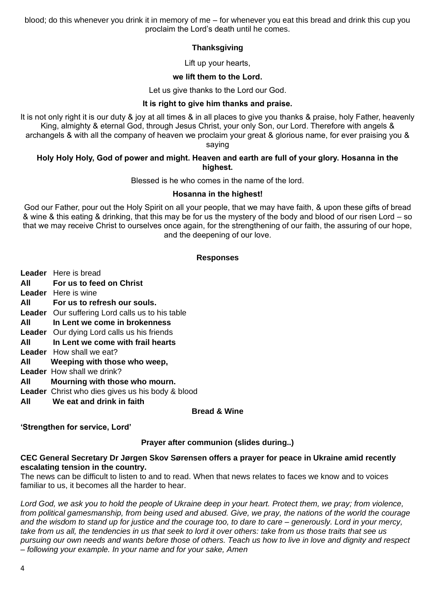blood; do this whenever you drink it in memory of me – for whenever you eat this bread and drink this cup you proclaim the Lord's death until he comes.

# **Thanksgiving**

Lift up your hearts,

# **we lift them to the Lord.**

Let us give thanks to the Lord our God.

# **It is right to give him thanks and praise.**

It is not only right it is our duty & joy at all times & in all places to give you thanks & praise, holy Father, heavenly King, almighty & eternal God, through Jesus Christ, your only Son, our Lord. Therefore with angels & archangels & with all the company of heaven we proclaim your great & glorious name, for ever praising you & saying

# **Holy Holy Holy, God of power and might. Heaven and earth are full of your glory. Hosanna in the highest.**

Blessed is he who comes in the name of the lord.

# **Hosanna in the highest!**

God our Father, pour out the Holy Spirit on all your people, that we may have faith, & upon these gifts of bread & wine & this eating & drinking, that this may be for us the mystery of the body and blood of our risen Lord – so that we may receive Christ to ourselves once again, for the strengthening of our faith, the assuring of our hope, and the deepening of our love.

## **Responses**

|     | <b>Leader</b> Here is bread                            |
|-----|--------------------------------------------------------|
| All | For us to feed on Christ                               |
|     | <b>Leader</b> Here is wine                             |
| All | For us to refresh our souls.                           |
|     | <b>Leader</b> Our suffering Lord calls us to his table |
| All | In Lent we come in brokenness                          |
|     | <b>Leader</b> Our dying Lord calls us his friends      |
| All | In Lent we come with frail hearts                      |
|     | <b>Leader</b> How shall we eat?                        |
| All | Weeping with those who weep,                           |
|     | <b>Leader</b> How shall we drink?                      |
| All | Mourning with those who mourn.                         |
|     | Leader Christ who dies gives us his body & blood       |
| All | We eat and drink in faith                              |

## **Bread & Wine**

## **'Strengthen for service, Lord'**

## **Prayer after communion (slides during..)**

# **CEC General Secretary Dr Jørgen Skov Sørensen offers a prayer for peace in Ukraine amid recently escalating tension in the country.**

The news can be difficult to listen to and to read. When that news relates to faces we know and to voices familiar to us, it becomes all the harder to hear.

*Lord God, we ask you to hold the people of Ukraine deep in your heart. Protect them, we pray; from violence, from political gamesmanship, from being used and abused. Give, we pray, the nations of the world the courage and the wisdom to stand up for justice and the courage too, to dare to care – generously. Lord in your mercy, take from us all, the tendencies in us that seek to lord it over others: take from us those traits that see us pursuing our own needs and wants before those of others. Teach us how to live in love and dignity and respect – following your example. In your name and for your sake, Amen*